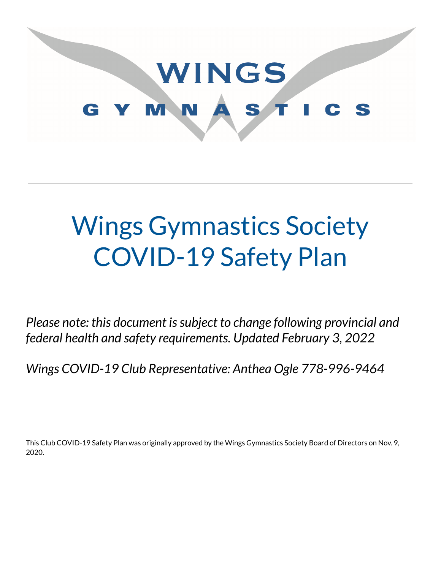

# Wings Gymnastics Society COVID-19 Safety Plan

*Please note: this document issubject to change following provincial and federal health and safety requirements. Updated February 3, 2022*

*Wings COVID-19 Club Representative: Anthea Ogle 778-996-9464*

This Club COVID-19 Safety Plan was originally approved by the Wings Gymnastics Society Board of Directors on Nov. 9, 2020.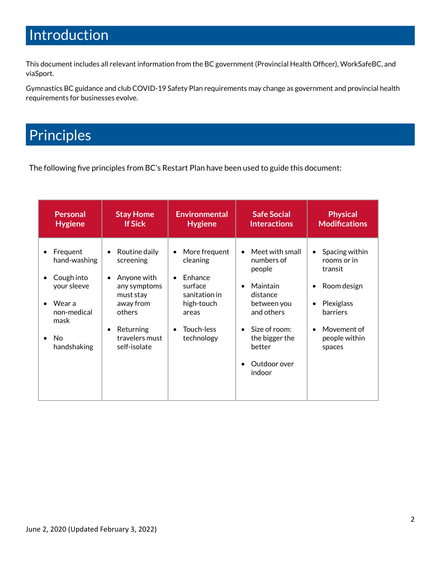### Introduction

This document includes all relevant information from the BC government (Provincial Health Officer), WorkSafeBC, and viaSport.

Gymnastics BC guidance and club COVID-19 Safety Plan requirements may change as government and provincial health requirements for businesses evolve.

## **Principles**

The following five principles from BC's Restart Plan have been used to guide this document:

| <b>Personal</b>                                                                                                                       | <b>Stay Home</b>                                                                                                                                                                    | <b>Environmental</b>                                                                                                | <b>Safe Social</b>                                                                                                                                                               | <b>Physical</b>                                                                                                                                                                 |
|---------------------------------------------------------------------------------------------------------------------------------------|-------------------------------------------------------------------------------------------------------------------------------------------------------------------------------------|---------------------------------------------------------------------------------------------------------------------|----------------------------------------------------------------------------------------------------------------------------------------------------------------------------------|---------------------------------------------------------------------------------------------------------------------------------------------------------------------------------|
| <b>Hygiene</b>                                                                                                                        | <b>If Sick</b>                                                                                                                                                                      | <b>Hygiene</b>                                                                                                      | <b>Interactions</b>                                                                                                                                                              | <b>Modifications</b>                                                                                                                                                            |
| Frequent<br>hand-washing<br>Cough into<br>$\bullet$<br>your sleeve<br>Wear a<br>$\bullet$<br>non-medical<br>mask<br>No<br>handshaking | Routine daily<br>$\bullet$<br>screening<br>Anyone with<br>$\bullet$<br>any symptoms<br>must stay<br>away from<br>others<br>Returning<br>$\bullet$<br>travelers must<br>self-isolate | More frequent<br>cleaning<br>Enhance<br>surface<br>sanitation in<br>high-touch<br>areas<br>Touch-less<br>technology | Meet with small<br>numbers of<br>people<br>Maintain<br>$\bullet$<br>distance<br>between you<br>and others<br>Size of room:<br>the bigger the<br>better<br>Outdoor over<br>indoor | Spacing within<br>$\bullet$<br>rooms or in<br>transit<br>Room design<br>$\bullet$<br>Plexiglass<br>$\bullet$<br>barriers<br>Movement of<br>$\bullet$<br>people within<br>spaces |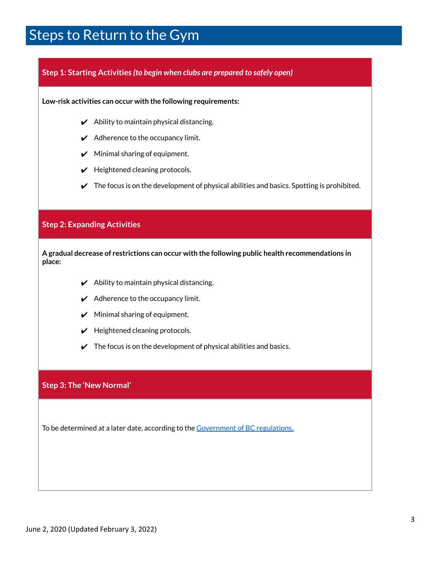### Steps to Return to the Gym

#### **Step 1: Starting Activities** *(to begin when clubs are prepared to safely open)*

**Low-risk activities can occur with the following requirements:**

- $\boldsymbol{\checkmark}$  Ability to maintain physical distancing.
- $\boldsymbol{\checkmark}$  Adherence to the occupancy limit.
- $\boldsymbol{\checkmark}$  Minimal sharing of equipment.
- $\boldsymbol{\nu}$  Heightened cleaning protocols.
- $\triangledown$  The focus is on the development of physical abilities and basics. Spotting is prohibited.

#### **Step 2: Expanding Activities**

**A gradual decrease of restrictions can occur with the following public health recommendations in place:**

- $\boldsymbol{\checkmark}$  Ability to maintain physical distancing.
- $\boldsymbol{\checkmark}$  Adherence to the occupancy limit.
- $\boldsymbol{\checkmark}$  Minimal sharing of equipment.
- $\boldsymbol{\checkmark}$  Heightened cleaning protocols.
- $\checkmark$  The focus is on the development of physical abilities and basics.

#### **Step 3: The 'New Normal'**

To be determined at a later date, according to the [Government](https://www2.gov.bc.ca/gov/content/safety/emergency-preparedness-response-recovery/covid-19-provincial-support/bc-restart-plan) of BC regulations.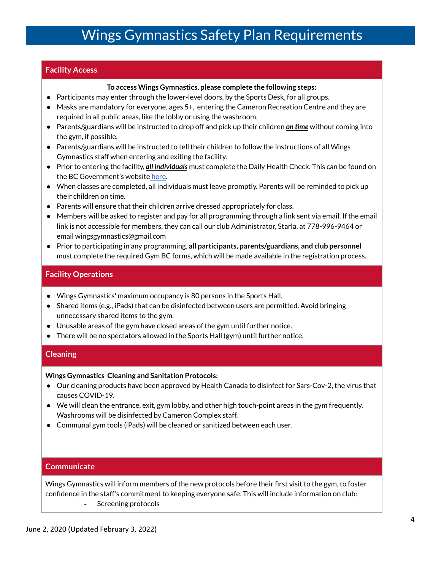### Wings Gymnastics Safety Plan Requirements

#### **Facility Access**

#### **To access Wings Gymnastics, please complete the following steps:**

- Participants may enter through the lower-level doors, by the Sports Desk, for all groups.
- Masks are mandatory for everyone, ages 5+, entering the Cameron Recreation Centre and they are required in all public areas, like the lobby or using the washroom.
- Parents/guardians will be instructed to drop off and pick up their children *on time* without coming into the gym, if possible.
- Parents/guardians will be instructed to tell their children to follow the instructions of all Wings Gymnastics staff when entering and exiting the facility.
- Prior to entering the facility, *all individuals* must complete the Daily Health Check. This can be found on the BC Government's website [here](https://www2.gov.bc.ca/assets/gov/education/kindergarten-to-grade-12/covid/daily-health-check-english.pdf).
- When classes are completed, all individuals must leave promptly. Parents will be reminded to pick up their children on time.
- Parents will ensure that their children arrive dressed appropriately for class.
- Members will be asked to register and pay for all programming through a link sent via email. If the email link is not accessible for members, they can call our club Administrator, Starla, at 778-996-9464 or email wingsgymnastics@gmail.com
- Prior to participating in any programming, **all participants, parents/guardians, and club personnel** must complete the required Gym BC forms, which will be made available in the registration process.

#### **Facility Operations**

- Wings Gymnastics' maximum occupancy is 80 persons in the Sports Hall.
- Shared items (e.g., iPads) that can be disinfected between users are permitted. Avoid bringing unnecessary shared items to the gym.
- Unusable areas of the gym have closed areas of the gym until further notice.
- There will be no spectators allowed in the Sports Hall (gym) until further notice.

#### **Cleaning**

#### **Wings Gymnastics Cleaning and Sanitation Protocols:**

- Our cleaning products have been approved by Health Canada to disinfect for Sars-Cov-2, the virus that causes COVID-19.
- We will clean the entrance, exit, gym lobby, and other high touch-point areas in the gym frequently. Washrooms will be disinfected by Cameron Complex staff.
- Communal gym tools (iPads) will be cleaned or sanitized between each user.

#### **Communicate**

Wings Gymnastics will inform members of the new protocols before their first visit to the gym, to foster confidence in the staff's commitment to keeping everyone safe. This will include information on club: - Screening protocols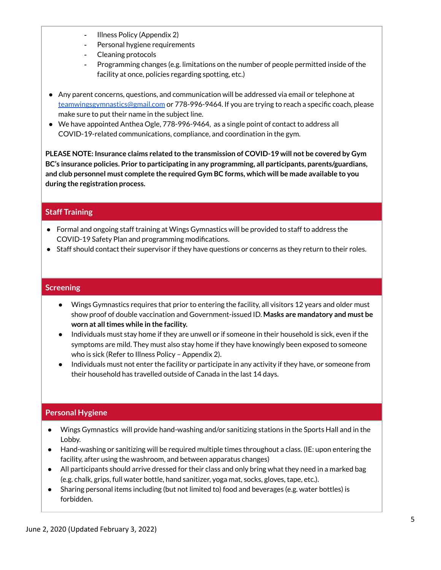- Illness Policy (Appendix 2)
- Personal hygiene requirements
- Cleaning protocols
- Programming changes (e.g. limitations on the number of people permitted inside of the facility at once, policies regarding spotting, etc.)
- Any parent concerns, questions, and communication will be addressed via email or telephone at [teamwingsgymnastics@gmail.com](mailto:teamwingsgymnsatics@gmail.com) or 778-996-9464. If you are trying to reach a specific coach, please make sure to put their name in the subject line.
- We have appointed Anthea Ogle, 778-996-9464, as a single point of contact to address all COVID-19-related communications, compliance, and coordination in the gym.

**PLEASE NOTE: Insurance claims related to the transmission of COVID-19 will not be covered by Gym BC's insurance policies. Prior to participating in any programming, all participants, parents/guardians, and club personnel must complete the required Gym BC forms, which will be made available to you during the registration process.**

#### **Staff Training**

- Formal and ongoing staff training at Wings Gymnastics will be provided to staff to address the COVID-19 Safety Plan and programming modifications.
- Staff should contact their supervisor if they have questions or concerns as they return to their roles.

#### **Screening**

- Wings Gymnastics requires that prior to entering the facility, all visitors 12 years and older must show proof of double vaccination and Government-issued ID. **Masks are mandatory and must be worn at alltimes while in the facility.**
- Individuals must stay home if they are unwell or if someone in their household is sick, even if the symptoms are mild. They must also stay home if they have knowingly been exposed to someone who is sick (Refer to Illness Policy – Appendix 2).
- Individuals must not enter the facility or participate in any activity if they have, or someone from their household has travelled outside of Canada in the last 14 days.

#### **Personal Hygiene**

- Wings Gymnastics will provide hand-washing and/or sanitizing stations in the Sports Hall and in the Lobby.
- Hand-washing or sanitizing will be required multiple times throughout a class. (IE: upon entering the facility, after using the washroom, and between apparatus changes)
- All participants should arrive dressed for their class and only bring what they need in a marked bag (e.g. chalk, grips, full water bottle, hand sanitizer, yoga mat, socks, gloves, tape, etc.).
- Sharing personal items including (but not limited to) food and beverages (e.g. water bottles) is forbidden.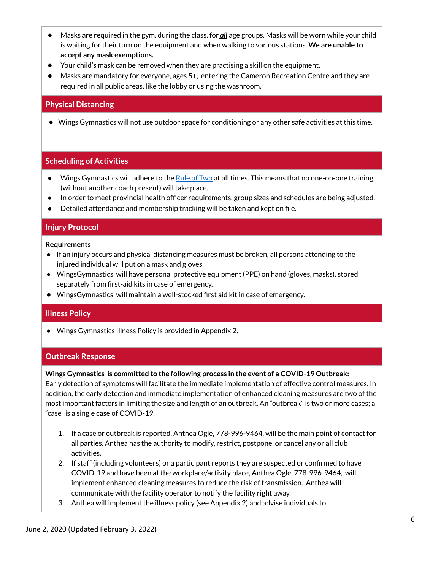- Masks are required in the gym, during the class, for *all* age groups. Masks will be worn while your child is waiting for their turn on the equipment and when walking to various stations. **We are unable to accept any mask exemptions.**
- Your child's mask can be removed when they are practising a skill on the equipment.
- Masks are mandatory for everyone, ages 5+, entering the Cameron Recreation Centre and they are required in all public areas, like the lobby or using the washroom.

#### **Physical Distancing**

● Wings Gymnastics will not use outdoor space for conditioning or any other safe activities at this time.

#### **Scheduling of Activities**

- $\bullet$  Wings Gymnastics will adhere to the Rule of Two at all [times.](https://coach.ca/three-steps-responsible-coaching) This means that no one-on-one training (without another coach present) will take place.
- In order to meet provincial health officer requirements, group sizes and schedules are being adjusted.
- Detailed attendance and membership tracking will be taken and kept on file.

#### **Injury Protocol**

#### **Requirements**

- If an injury occurs and physical distancing measures must be broken, all persons attending to the injured individual will put on a mask and gloves.
- WingsGymnastics will have personal protective equipment (PPE) on hand (gloves, masks), stored separately from first-aid kits in case of emergency.
- WingsGymnastics will maintain a well-stocked first aid kit in case of emergency.

#### **Illness Policy**

● Wings Gymnastics Illness Policy is provided in Appendix 2.

#### **Outbreak Response**

#### **Wings Gymnastics is committed to the following process in the event of a COVID-19 Outbreak:**

Early detection of symptoms will facilitate the immediate implementation of effective control measures. In addition, the early detection and immediate implementation of enhanced cleaning measures are two of the most important factors in limiting the size and length of an outbreak. An "outbreak" is two or more cases; a "case" is a single case of COVID-19.

- 1. If a case or outbreak is reported, Anthea Ogle, 778-996-9464, will be the main point of contact for all parties. Anthea has the authority to modify, restrict, postpone, or cancel any or all club activities.
- 2. If staff (including volunteers) or a participant reports they are suspected or confirmed to have COVID-19 and have been at the workplace/activity place, Anthea Ogle, 778-996-9464, will implement enhanced cleaning measures to reduce the risk of transmission. Anthea will communicate with the facility operator to notify the facility right away.
- 3. Anthea will implement the illness policy (see Appendix 2) and advise individuals to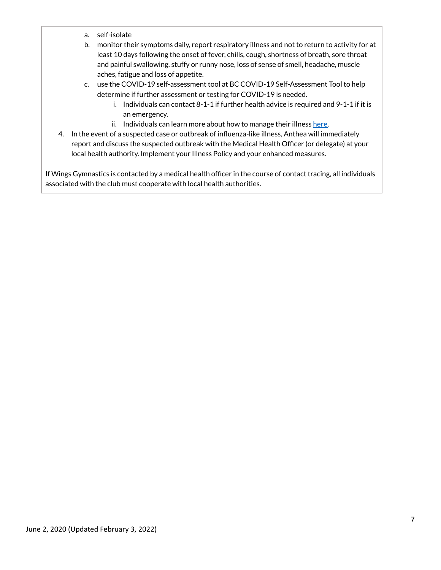- a. self-isolate
- b. monitor their symptoms daily, report respiratory illness and not to return to activity for at least 10 days following the onset of fever, chills, cough, shortness of breath, sore throat and painful swallowing, stuffy or runny nose, loss of sense of smell, headache, muscle aches, fatigue and loss of appetite.
- c. use the COVID-19 self-assessment tool at BC COVID-19 Self-Assessment Tool to help determine if further assessment or testing for COVID-19 is needed.
	- i. Individuals can contact 8-1-1 if further health advice is required and 9-1-1 if it is an emergency.
	- ii. Individuals can learn more about how to manage their illness [here.](http://www.bccdc.ca/health-info/diseases-conditions/covid-19/about-covid-19/if-you-are-sick)
- 4. In the event of a suspected case or outbreak of influenza-like illness, Anthea will immediately report and discuss the suspected outbreak with the Medical Health Officer (or delegate) at your local health authority. Implement your Illness Policy and your enhanced measures.

If Wings Gymnastics is contacted by a medical health officer in the course of contact tracing, all individuals associated with the club must cooperate with local health authorities.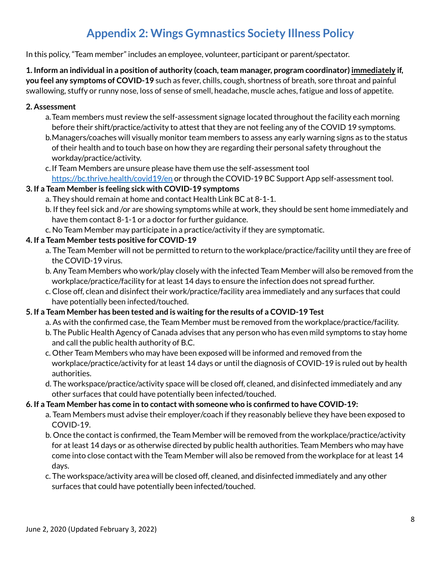### **Appendix 2: Wings Gymnastics Society Illness Policy**

In this policy, "Team member" includes an employee, volunteer, participant or parent/spectator.

**1. Inform an individual in a position of authority (coach,team manager, program coordinator) immediately if, you feel any symptoms of COVID-19** such as fever, chills, cough, shortness of breath, sore throat and painful swallowing, stuffy or runny nose, loss of sense of smell, headache, muscle aches, fatigue and loss of appetite.

#### **2. Assessment**

- a.Team members must review the self-assessment signage located throughout the facility each morning before their shift/practice/activity to attest that they are not feeling any of the COVID 19 symptoms.
- b.Managers/coaches will visually monitor team members to assess any early warning signs as to the status of their health and to touch base on how they are regarding their personal safety throughout the workday/practice/activity.
- c.If Team Members are unsure please have them use the self-assessment tool <https://bc.thrive.health/covid19/en> or through the COVID-19 BC Support App self-assessment tool.

#### **3. If a Team Member is feeling sick with COVID-19 symptoms**

- a. They should remain at home and contact Health Link BC at 8-1-1.
- b. If they feel sick and /or are showing symptoms while at work, they should be sent home immediately and have them contact 8-1-1 or a doctor for further guidance.
- c. No Team Member may participate in a practice/activity if they are symptomatic.

#### **4. If a Team Member tests positive for COVID-19**

- a. The Team Member will not be permitted to return to the workplace/practice/facility until they are free of the COVID-19 virus.
- b. Any Team Members who work/play closely with the infected Team Member will also be removed from the workplace/practice/facility for at least 14 days to ensure the infection does not spread further.
- c. Close off, clean and disinfect their work/practice/facility area immediately and any surfaces that could have potentially been infected/touched.

#### **5. If a Team Member has been tested and is waiting for the results of a COVID-19 Test**

- a. As with the confirmed case, the Team Member must be removed from the workplace/practice/facility.
- b. The Public Health Agency of Canada advises that any person who has even mild symptoms to stay home and call the public health authority of B.C.
- c. Other Team Members who may have been exposed will be informed and removed from the workplace/practice/activity for at least 14 days or until the diagnosis of COVID-19 is ruled out by health authorities.
- d. The workspace/practice/activity space will be closed off, cleaned, and disinfected immediately and any other surfaces that could have potentially been infected/touched.

#### **6. If a Team Member has come in to contact with someone who is confirmed to have COVID-19:**

- a. Team Members must advise their employer/coach if they reasonably believe they have been exposed to COVID-19.
- b. Once the contact is confirmed, the Team Member will be removed from the workplace/practice/activity for at least 14 days or as otherwise directed by public health authorities. Team Members who may have come into close contact with the Team Member will also be removed from the workplace for at least 14 days.
- c. The workspace/activity area will be closed off, cleaned, and disinfected immediately and any other surfaces that could have potentially been infected/touched.